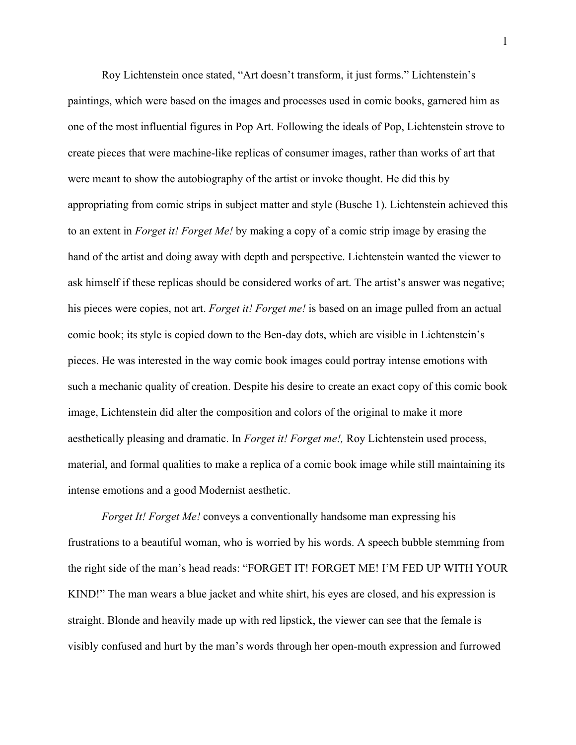Roy Lichtenstein once stated, "Art doesn't transform, it just forms." Lichtenstein's paintings, which were based on the images and processes used in comic books, garnered him as one of the most influential figures in Pop Art. Following the ideals of Pop, Lichtenstein strove to create pieces that were machine-like replicas of consumer images, rather than works of art that were meant to show the autobiography of the artist or invoke thought. He did this by appropriating from comic strips in subject matter and style (Busche 1). Lichtenstein achieved this to an extent in *Forget it! Forget Me!* by making a copy of a comic strip image by erasing the hand of the artist and doing away with depth and perspective. Lichtenstein wanted the viewer to ask himself if these replicas should be considered works of art. The artist's answer was negative; his pieces were copies, not art. *Forget it! Forget me!* is based on an image pulled from an actual comic book; its style is copied down to the Ben-day dots, which are visible in Lichtenstein's pieces. He was interested in the way comic book images could portray intense emotions with such a mechanic quality of creation. Despite his desire to create an exact copy of this comic book image, Lichtenstein did alter the composition and colors of the original to make it more aesthetically pleasing and dramatic. In *Forget it! Forget me!,* Roy Lichtenstein used process, material, and formal qualities to make a replica of a comic book image while still maintaining its intense emotions and a good Modernist aesthetic.

*Forget It! Forget Me!* conveys a conventionally handsome man expressing his frustrations to a beautiful woman, who is worried by his words. A speech bubble stemming from the right side of the man's head reads: "FORGET IT! FORGET ME! I'M FED UP WITH YOUR KIND!" The man wears a blue jacket and white shirt, his eyes are closed, and his expression is straight. Blonde and heavily made up with red lipstick, the viewer can see that the female is visibly confused and hurt by the man's words through her open-mouth expression and furrowed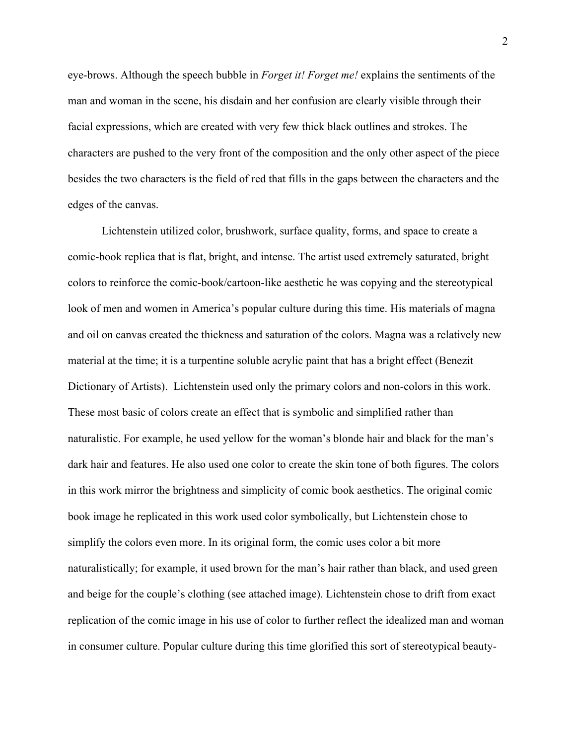eye-brows. Although the speech bubble in *Forget it! Forget me!* explains the sentiments of the man and woman in the scene, his disdain and her confusion are clearly visible through their facial expressions, which are created with very few thick black outlines and strokes. The characters are pushed to the very front of the composition and the only other aspect of the piece besides the two characters is the field of red that fills in the gaps between the characters and the edges of the canvas.

Lichtenstein utilized color, brushwork, surface quality, forms, and space to create a comic-book replica that is flat, bright, and intense. The artist used extremely saturated, bright colors to reinforce the comic-book/cartoon-like aesthetic he was copying and the stereotypical look of men and women in America's popular culture during this time. His materials of magna and oil on canvas created the thickness and saturation of the colors. Magna was a relatively new material at the time; it is a turpentine soluble acrylic paint that has a bright effect (Benezit Dictionary of Artists). Lichtenstein used only the primary colors and non-colors in this work. These most basic of colors create an effect that is symbolic and simplified rather than naturalistic. For example, he used yellow for the woman's blonde hair and black for the man's dark hair and features. He also used one color to create the skin tone of both figures. The colors in this work mirror the brightness and simplicity of comic book aesthetics. The original comic book image he replicated in this work used color symbolically, but Lichtenstein chose to simplify the colors even more. In its original form, the comic uses color a bit more naturalistically; for example, it used brown for the man's hair rather than black, and used green and beige for the couple's clothing (see attached image). Lichtenstein chose to drift from exact replication of the comic image in his use of color to further reflect the idealized man and woman in consumer culture. Popular culture during this time glorified this sort of stereotypical beauty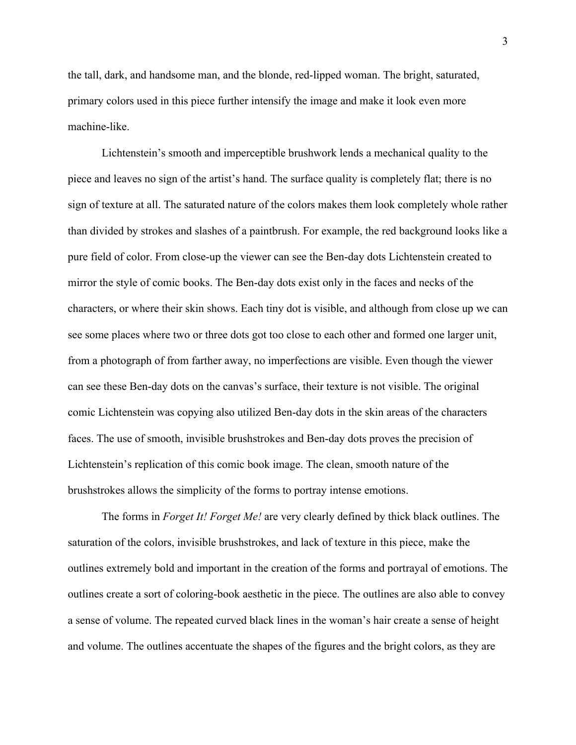the tall, dark, and handsome man, and the blonde, red-lipped woman. The bright, saturated, primary colors used in this piece further intensify the image and make it look even more machine-like.

Lichtenstein's smooth and imperceptible brushwork lends a mechanical quality to the piece and leaves no sign of the artist's hand. The surface quality is completely flat; there is no sign of texture at all. The saturated nature of the colors makes them look completely whole rather than divided by strokes and slashes of a paintbrush. For example, the red background looks like a pure field of color. From close-up the viewer can see the Ben-day dots Lichtenstein created to mirror the style of comic books. The Ben-day dots exist only in the faces and necks of the characters, or where their skin shows. Each tiny dot is visible, and although from close up we can see some places where two or three dots got too close to each other and formed one larger unit, from a photograph of from farther away, no imperfections are visible. Even though the viewer can see these Ben-day dots on the canvas's surface, their texture is not visible. The original comic Lichtenstein was copying also utilized Ben-day dots in the skin areas of the characters faces. The use of smooth, invisible brushstrokes and Ben-day dots proves the precision of Lichtenstein's replication of this comic book image. The clean, smooth nature of the brushstrokes allows the simplicity of the forms to portray intense emotions.

The forms in *Forget It! Forget Me!* are very clearly defined by thick black outlines. The saturation of the colors, invisible brushstrokes, and lack of texture in this piece, make the outlines extremely bold and important in the creation of the forms and portrayal of emotions. The outlines create a sort of coloring-book aesthetic in the piece. The outlines are also able to convey a sense of volume. The repeated curved black lines in the woman's hair create a sense of height and volume. The outlines accentuate the shapes of the figures and the bright colors, as they are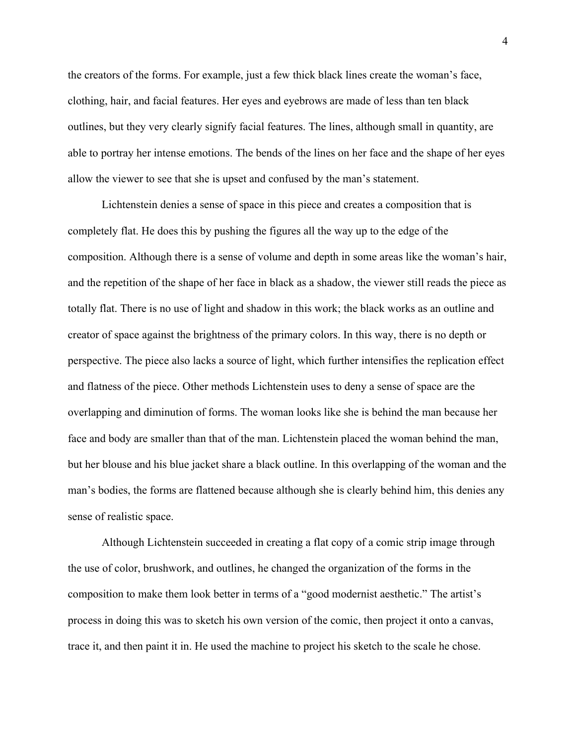the creators of the forms. For example, just a few thick black lines create the woman's face, clothing, hair, and facial features. Her eyes and eyebrows are made of less than ten black outlines, but they very clearly signify facial features. The lines, although small in quantity, are able to portray her intense emotions. The bends of the lines on her face and the shape of her eyes allow the viewer to see that she is upset and confused by the man's statement.

Lichtenstein denies a sense of space in this piece and creates a composition that is completely flat. He does this by pushing the figures all the way up to the edge of the composition. Although there is a sense of volume and depth in some areas like the woman's hair, and the repetition of the shape of her face in black as a shadow, the viewer still reads the piece as totally flat. There is no use of light and shadow in this work; the black works as an outline and creator of space against the brightness of the primary colors. In this way, there is no depth or perspective. The piece also lacks a source of light, which further intensifies the replication effect and flatness of the piece. Other methods Lichtenstein uses to deny a sense of space are the overlapping and diminution of forms. The woman looks like she is behind the man because her face and body are smaller than that of the man. Lichtenstein placed the woman behind the man, but her blouse and his blue jacket share a black outline. In this overlapping of the woman and the man's bodies, the forms are flattened because although she is clearly behind him, this denies any sense of realistic space.

Although Lichtenstein succeeded in creating a flat copy of a comic strip image through the use of color, brushwork, and outlines, he changed the organization of the forms in the composition to make them look better in terms of a "good modernist aesthetic." The artist's process in doing this was to sketch his own version of the comic, then project it onto a canvas, trace it, and then paint it in. He used the machine to project his sketch to the scale he chose.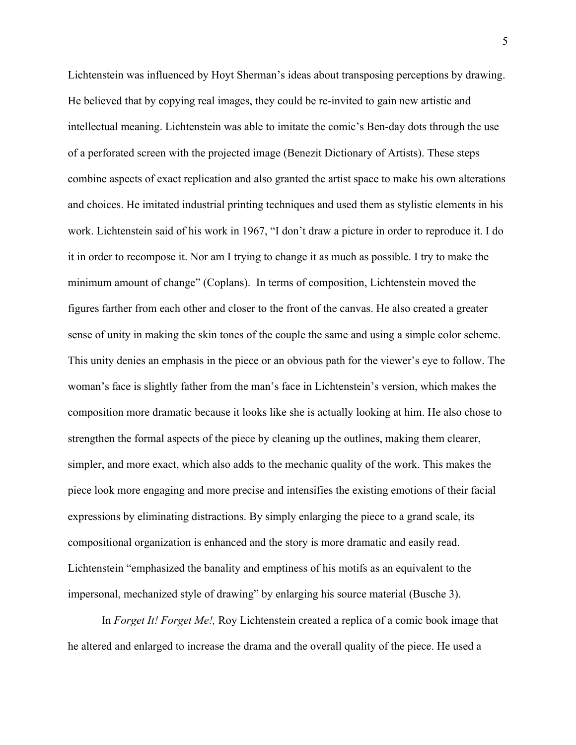Lichtenstein was influenced by Hoyt Sherman's ideas about transposing perceptions by drawing. He believed that by copying real images, they could be re-invited to gain new artistic and intellectual meaning. Lichtenstein was able to imitate the comic's Ben-day dots through the use of a perforated screen with the projected image (Benezit Dictionary of Artists). These steps combine aspects of exact replication and also granted the artist space to make his own alterations and choices. He imitated industrial printing techniques and used them as stylistic elements in his work. Lichtenstein said of his work in 1967, "I don't draw a picture in order to reproduce it. I do it in order to recompose it. Nor am I trying to change it as much as possible. I try to make the minimum amount of change" (Coplans). In terms of composition, Lichtenstein moved the figures farther from each other and closer to the front of the canvas. He also created a greater sense of unity in making the skin tones of the couple the same and using a simple color scheme. This unity denies an emphasis in the piece or an obvious path for the viewer's eye to follow. The woman's face is slightly father from the man's face in Lichtenstein's version, which makes the composition more dramatic because it looks like she is actually looking at him. He also chose to strengthen the formal aspects of the piece by cleaning up the outlines, making them clearer, simpler, and more exact, which also adds to the mechanic quality of the work. This makes the piece look more engaging and more precise and intensifies the existing emotions of their facial expressions by eliminating distractions. By simply enlarging the piece to a grand scale, its compositional organization is enhanced and the story is more dramatic and easily read. Lichtenstein "emphasized the banality and emptiness of his motifs as an equivalent to the impersonal, mechanized style of drawing" by enlarging his source material (Busche 3).

In *Forget It! Forget Me!,* Roy Lichtenstein created a replica of a comic book image that he altered and enlarged to increase the drama and the overall quality of the piece. He used a